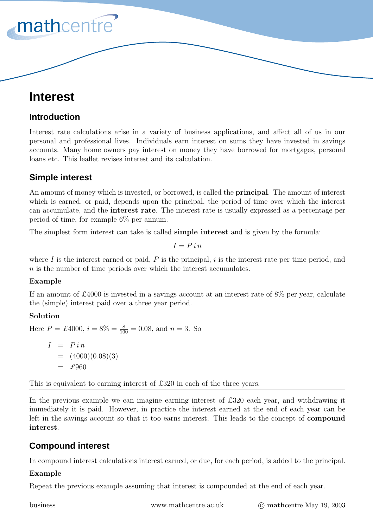# **Interest**

mathcentre

# **Introduction**

Interest rate calculations arise in a variety of business applications, and affect all of us in our personal and professional lives. Individuals earn interest on sums they have invested in savings accounts. Many home owners pay interest on money they have borrowed for mortgages, personal loans etc. This leaflet revises interest and its calculation.

# **Simple interest**

An amount of money which is invested, or borrowed, is called the **principal**. The amount of interest which is earned, or paid, depends upon the principal, the period of time over which the interest can accumulate, and the **interest rate**. The interest rate is usually expressed as a percentage per period of time, for example 6% per annum.

The simplest form interest can take is called **simple interest** and is given by the formula:

$$
I=P\,i\,n
$$

where I is the interest earned or paid,  $P$  is the principal, i is the interest rate per time period, and n is the number of time periods over which the interest accumulates.

# **Example**

If an amount of £4000 is invested in a savings account at an interest rate of 8% per year, calculate the (simple) interest paid over a three year period.

# **Solution**

Here  $P = \pounds 4000$ ,  $i = 8\% = \frac{8}{100} = 0.08$ , and  $n = 3$ . So

 $I = Pi n$  $= (4000)(0.08)(3)$  $=$  £960

This is equivalent to earning interest of £320 in each of the three years.

In the previous example we can imagine earning interest of £320 each year, and withdrawing it immediately it is paid. However, in practice the interest earned at the end of each year can be left in the savings account so that it too earns interest. This leads to the concept of **compound interest**.

# **Compound interest**

In compound interest calculations interest earned, or due, for each period, is added to the principal.

# **Example**

Repeat the previous example assuming that interest is compounded at the end of each year.